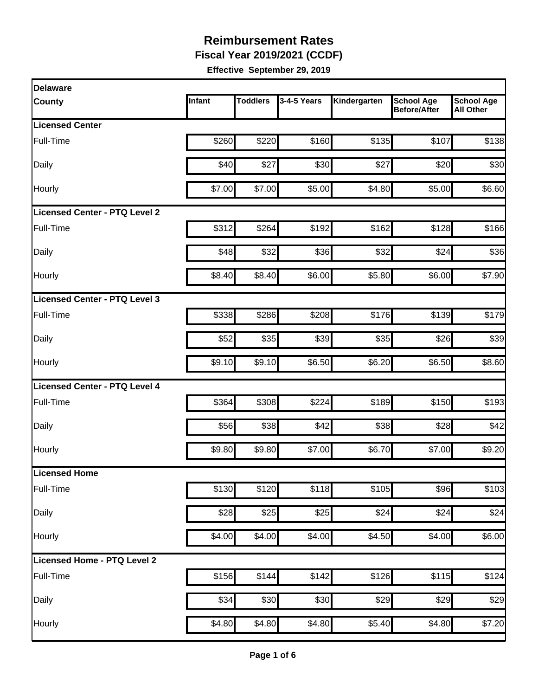**Fiscal Year 2019/2021 (CCDF)** 

| <b>Delaware</b>                      |        |                 |                  |                   |                                          |                                       |
|--------------------------------------|--------|-----------------|------------------|-------------------|------------------------------------------|---------------------------------------|
| <b>County</b>                        | Infant | <b>Toddlers</b> | 3-4-5 Years      | Kindergarten      | <b>School Age</b><br><b>Before/After</b> | <b>School Age</b><br><b>All Other</b> |
| <b>Licensed Center</b>               |        |                 |                  |                   |                                          |                                       |
| Full-Time                            | \$260  | \$220           | \$160            | \$135             | \$107                                    | \$138                                 |
| Daily                                | \$40   | \$27            | \$30             | \$27              | \$20                                     | \$30                                  |
| Hourly                               | \$7.00 | \$7.00          | \$5.00           | \$4.80            | \$5.00                                   | \$6.60                                |
| <b>Licensed Center - PTQ Level 2</b> |        |                 |                  |                   |                                          |                                       |
| Full-Time                            | \$312  | \$264           | \$192            | \$162             | \$128                                    | \$166                                 |
| Daily                                | \$48   | \$32            | \$36             | \$32              | \$24                                     | \$36                                  |
| Hourly                               | \$8.40 | \$8.40          | \$6.00           | \$5.80            | \$6.00                                   | \$7.90                                |
| Licensed Center - PTQ Level 3        |        |                 |                  |                   |                                          |                                       |
| Full-Time                            | \$338  | \$286           | \$208            | \$176             | \$139                                    | \$179                                 |
| Daily                                | \$52   | \$35            | \$39             | \$35              | \$26                                     | \$39                                  |
| Hourly                               | \$9.10 | \$9.10          | \$6.50           | \$6.20            | \$6.50                                   | \$8.60                                |
| Licensed Center - PTQ Level 4        |        |                 |                  |                   |                                          |                                       |
| Full-Time                            | \$364  | \$308           | \$224            | \$189             | \$150                                    | \$193                                 |
| Daily                                | \$56   | \$38            | \$42             | \$38              | \$28                                     | \$42                                  |
| Hourly                               | \$9.80 | \$9.80          | \$7.00           | \$6.70            | \$7.00                                   | \$9.20                                |
| Licensed Home                        |        |                 |                  |                   |                                          |                                       |
| Full-Time                            | \$130  | \$120           | \$118            | $\overline{$}105$ | \$96                                     | $\overline{$}103$                     |
| Daily                                | \$28   | \$25            | \$25             | \$24              | \$24                                     | \$24                                  |
| Hourly                               | \$4.00 | \$4.00          | \$4.00           | \$4.50            | \$4.00                                   | \$6.00                                |
| Licensed Home - PTQ Level 2          |        |                 |                  |                   |                                          |                                       |
| Full-Time                            | \$156  | \$144           | \$142            | \$126             | \$115                                    | \$124                                 |
| Daily                                | \$34   | \$30            | $\overline{$}30$ | \$29              | \$29                                     | \$29                                  |
| Hourly                               | \$4.80 | \$4.80          | \$4.80           | \$5.40            | \$4.80                                   | \$7.20                                |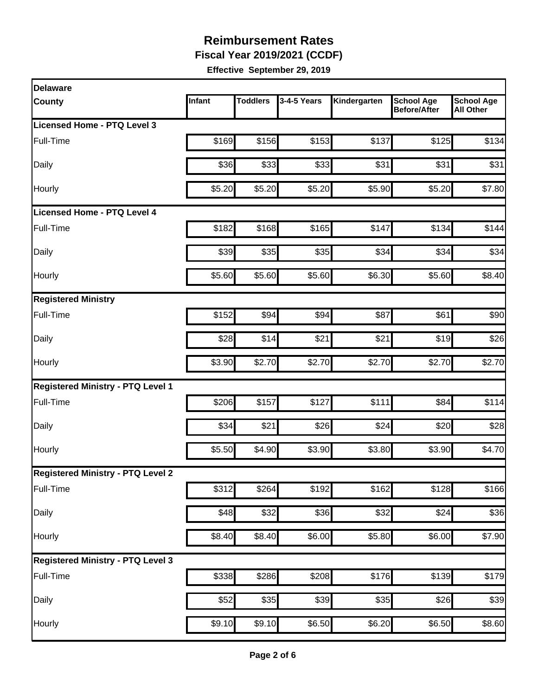**Fiscal Year 2019/2021 (CCDF)** 

| <b>Delaware</b>                          |        |                   |                  |              |                                          |                                       |
|------------------------------------------|--------|-------------------|------------------|--------------|------------------------------------------|---------------------------------------|
| <b>County</b>                            | Infant | <b>Toddlers</b>   | 3-4-5 Years      | Kindergarten | <b>School Age</b><br><b>Before/After</b> | <b>School Age</b><br><b>All Other</b> |
| Licensed Home - PTQ Level 3              |        |                   |                  |              |                                          |                                       |
| Full-Time                                | \$169  | \$156             | \$153            | \$137        | \$125                                    | \$134                                 |
| Daily                                    | \$36   | \$33              | \$33             | \$31         | \$31                                     | \$31                                  |
| Hourly                                   | \$5.20 | \$5.20            | \$5.20           | \$5.90       | \$5.20                                   | \$7.80                                |
| <b>Licensed Home - PTQ Level 4</b>       |        |                   |                  |              |                                          |                                       |
| Full-Time                                | \$182  | \$168             | \$165            | \$147        | \$134                                    | \$144                                 |
| Daily                                    | \$39   | \$35              | \$35             | \$34         | \$34                                     | \$34                                  |
| Hourly                                   | \$5.60 | \$5.60            | \$5.60           | \$6.30       | \$5.60                                   | \$8.40                                |
| <b>Registered Ministry</b>               |        |                   |                  |              |                                          |                                       |
| Full-Time                                | \$152  | \$94              | \$94             | \$87         | \$61                                     | \$90                                  |
| Daily                                    | \$28   | \$14              | \$21             | \$21         | \$19                                     | \$26                                  |
| Hourly                                   | \$3.90 | \$2.70            | \$2.70           | \$2.70       | \$2.70                                   | \$2.70                                |
| <b>Registered Ministry - PTQ Level 1</b> |        |                   |                  |              |                                          |                                       |
| Full-Time                                | \$206  | \$157             | \$127            | \$111        | \$84                                     | \$114                                 |
| Daily                                    | \$34   | \$21              | \$26             | \$24         | \$20                                     | \$28                                  |
| Hourly                                   | \$5.50 | \$4.90            | \$3.90           | \$3.80       | \$3.90                                   | \$4.70                                |
| <b>Registered Ministry - PTQ Level 2</b> |        |                   |                  |              |                                          |                                       |
| Full-Time                                | \$312  | $\overline{$}264$ | \$192            | \$162        | \$128                                    | \$166                                 |
| Daily                                    | \$48   | \$32              | $\overline{$36}$ | \$32         | \$24                                     | \$36                                  |
| Hourly                                   | \$8.40 | \$8.40            | \$6.00           | \$5.80       | \$6.00                                   | \$7.90                                |
| <b>Registered Ministry - PTQ Level 3</b> |        |                   |                  |              |                                          |                                       |
| Full-Time                                | \$338  | \$286             | \$208            | \$176        | \$139                                    | \$179                                 |
| Daily                                    | \$52   | $\overline{$}35$  | $\overline{$}39$ | \$35         | \$26                                     | \$39                                  |
| Hourly                                   | \$9.10 | \$9.10            | \$6.50           | \$6.20       | \$6.50                                   | \$8.60                                |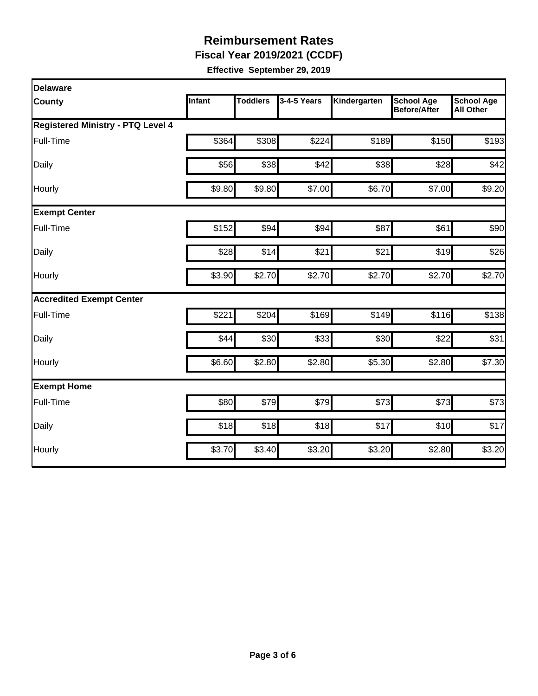**Fiscal Year 2019/2021 (CCDF)** 

| Delaware                                 |        |                 |             |              |                                          |                                       |
|------------------------------------------|--------|-----------------|-------------|--------------|------------------------------------------|---------------------------------------|
| County                                   | Infant | <b>Toddlers</b> | 3-4-5 Years | Kindergarten | <b>School Age</b><br><b>Before/After</b> | <b>School Age</b><br><b>All Other</b> |
| <b>Registered Ministry - PTQ Level 4</b> |        |                 |             |              |                                          |                                       |
| Full-Time                                | \$364  | \$308           | \$224       | \$189        | \$150                                    | \$193                                 |
| Daily                                    | \$56   | \$38            | \$42        | \$38         | \$28                                     | \$42                                  |
| Hourly                                   | \$9.80 | \$9.80          | \$7.00      | \$6.70       | \$7.00                                   | \$9.20                                |
| <b>Exempt Center</b>                     |        |                 |             |              |                                          |                                       |
| Full-Time                                | \$152  | \$94            | \$94        | \$87         | \$61                                     | \$90                                  |
| Daily                                    | \$28   | \$14            | \$21        | \$21         | \$19                                     | \$26                                  |
| Hourly                                   | \$3.90 | \$2.70          | \$2.70      | \$2.70       | \$2.70                                   | \$2.70                                |
| <b>Accredited Exempt Center</b>          |        |                 |             |              |                                          |                                       |
| Full-Time                                | \$221  | \$204           | \$169       | \$149        | \$116                                    | \$138                                 |
| Daily                                    | \$44   | \$30            | \$33        | \$30         | \$22                                     | \$31                                  |
| Hourly                                   | \$6.60 | \$2.80          | \$2.80      | \$5.30       | \$2.80                                   | \$7.30                                |
| <b>Exempt Home</b>                       |        |                 |             |              |                                          |                                       |
| Full-Time                                | \$80   | \$79            | \$79        | \$73         | \$73                                     | \$73                                  |
| Daily                                    | \$18   | \$18            | \$18        | \$17         | \$10                                     | \$17                                  |
| Hourly                                   | \$3.70 | \$3.40          | \$3.20      | \$3.20       | \$2.80                                   | \$3.20                                |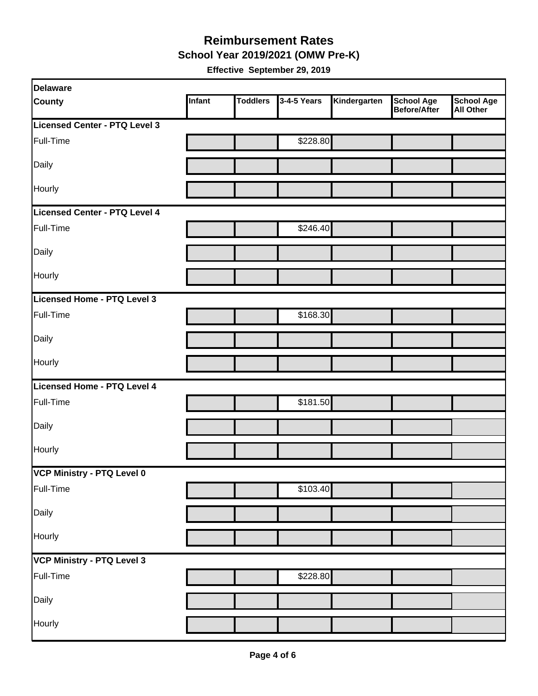#### **Reimbursement Rates School Year 2019/2021 (OMW Pre-K)**

| <b>Delaware</b>                   |        |                 |             |              |                                   |                                       |
|-----------------------------------|--------|-----------------|-------------|--------------|-----------------------------------|---------------------------------------|
| <b>County</b>                     | Infant | <b>Toddlers</b> | 3-4-5 Years | Kindergarten | <b>School Age</b><br>Before/After | <b>School Age</b><br><b>All Other</b> |
| Licensed Center - PTQ Level 3     |        |                 |             |              |                                   |                                       |
| Full-Time                         |        |                 | \$228.80    |              |                                   |                                       |
| Daily                             |        |                 |             |              |                                   |                                       |
| Hourly                            |        |                 |             |              |                                   |                                       |
| Licensed Center - PTQ Level 4     |        |                 |             |              |                                   |                                       |
| Full-Time                         |        |                 | \$246.40    |              |                                   |                                       |
| Daily                             |        |                 |             |              |                                   |                                       |
| Hourly                            |        |                 |             |              |                                   |                                       |
| Licensed Home - PTQ Level 3       |        |                 |             |              |                                   |                                       |
| Full-Time                         |        |                 | \$168.30    |              |                                   |                                       |
| Daily                             |        |                 |             |              |                                   |                                       |
| Hourly                            |        |                 |             |              |                                   |                                       |
| Licensed Home - PTQ Level 4       |        |                 |             |              |                                   |                                       |
| Full-Time                         |        |                 | \$181.50    |              |                                   |                                       |
| Daily                             |        |                 |             |              |                                   |                                       |
| Hourly                            |        |                 |             |              |                                   |                                       |
| VCP Ministry - PTQ Level 0        |        |                 |             |              |                                   |                                       |
| Full-Time                         |        |                 | \$103.40    |              |                                   |                                       |
| Daily                             |        |                 |             |              |                                   |                                       |
| Hourly                            |        |                 |             |              |                                   |                                       |
| <b>VCP Ministry - PTQ Level 3</b> |        |                 |             |              |                                   |                                       |
| Full-Time                         |        |                 | \$228.80    |              |                                   |                                       |
| Daily                             |        |                 |             |              |                                   |                                       |
| Hourly                            |        |                 |             |              |                                   |                                       |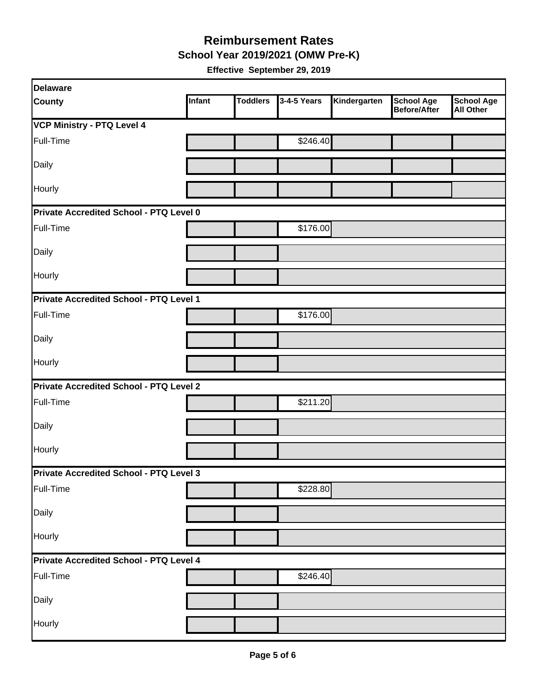**School Year 2019/2021 (OMW Pre-K)** 

| <b>Delaware</b>                                |        |                 |             |              |                                          |                                       |
|------------------------------------------------|--------|-----------------|-------------|--------------|------------------------------------------|---------------------------------------|
| <b>County</b>                                  | Infant | <b>Toddlers</b> | 3-4-5 Years | Kindergarten | <b>School Age</b><br><b>Before/After</b> | <b>School Age</b><br><b>All Other</b> |
| VCP Ministry - PTQ Level 4                     |        |                 |             |              |                                          |                                       |
| Full-Time                                      |        |                 | \$246.40    |              |                                          |                                       |
| Daily                                          |        |                 |             |              |                                          |                                       |
| Hourly                                         |        |                 |             |              |                                          |                                       |
| Private Accredited School - PTQ Level 0        |        |                 |             |              |                                          |                                       |
| Full-Time                                      |        |                 | \$176.00    |              |                                          |                                       |
| Daily                                          |        |                 |             |              |                                          |                                       |
| Hourly                                         |        |                 |             |              |                                          |                                       |
| Private Accredited School - PTQ Level 1        |        |                 |             |              |                                          |                                       |
| Full-Time                                      |        |                 | \$176.00    |              |                                          |                                       |
| Daily                                          |        |                 |             |              |                                          |                                       |
| Hourly                                         |        |                 |             |              |                                          |                                       |
| Private Accredited School - PTQ Level 2        |        |                 |             |              |                                          |                                       |
| Full-Time                                      |        |                 | \$211.20    |              |                                          |                                       |
| Daily                                          |        |                 |             |              |                                          |                                       |
| Hourly                                         |        |                 |             |              |                                          |                                       |
| Private Accredited School - PTQ Level 3        |        |                 |             |              |                                          |                                       |
| Full-Time                                      |        |                 | \$228.80    |              |                                          |                                       |
| Daily                                          |        |                 |             |              |                                          |                                       |
| Hourly                                         |        |                 |             |              |                                          |                                       |
| <b>Private Accredited School - PTQ Level 4</b> |        |                 |             |              |                                          |                                       |
| Full-Time                                      |        |                 | \$246.40]   |              |                                          |                                       |
| Daily                                          |        |                 |             |              |                                          |                                       |
| Hourly                                         |        |                 |             |              |                                          |                                       |